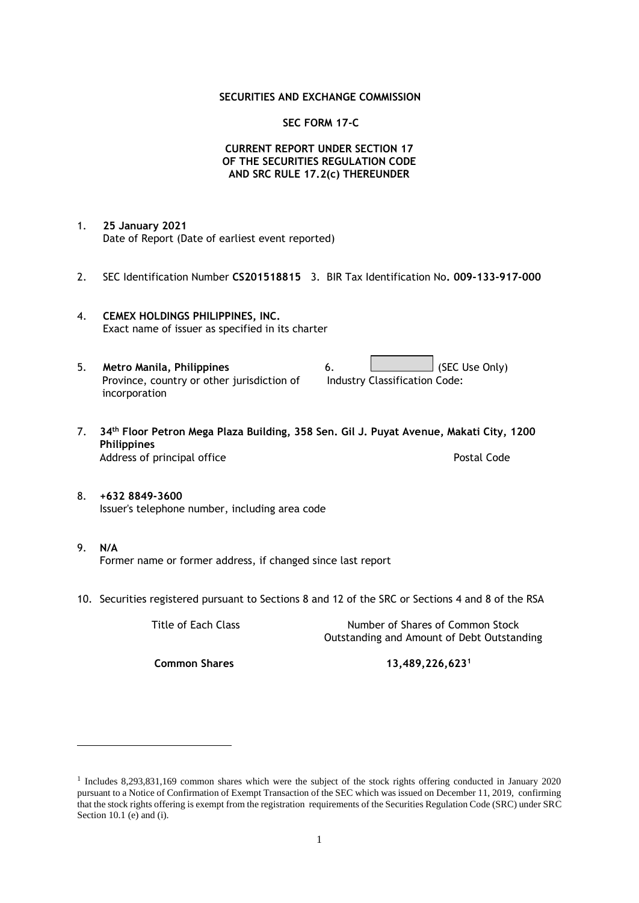#### **SECURITIES AND EXCHANGE COMMISSION**

#### **SEC FORM 17-C**

### **CURRENT REPORT UNDER SECTION 17 OF THE SECURITIES REGULATION CODE AND SRC RULE 17.2(c) THEREUNDER**

- 1. **25 January 2021** Date of Report (Date of earliest event reported)
- 2. SEC Identification Number **CS201518815** 3. BIR Tax Identification No**. 009-133-917-000**
- 4. **CEMEX HOLDINGS PHILIPPINES, INC.** Exact name of issuer as specified in its charter
- 5. **Metro Manila, Philippines** 6. **Consumers 6.** (SEC Use Only) Province, country or other jurisdiction of incorporation Industry Classification Code:
- 7. **34th Floor Petron Mega Plaza Building, 358 Sen. Gil J. Puyat Avenue, Makati City, 1200 Philippines** Address of principal office **Postal Code** Postal Code
- 8. **+632 8849-3600** Issuer's telephone number, including area code
- 9. **N/A** Former name or former address, if changed since last report
- 10. Securities registered pursuant to Sections 8 and 12 of the SRC or Sections 4 and 8 of the RSA

Title of Each Class Number of Shares of Common Stock Outstanding and Amount of Debt Outstanding

**Common Shares 13,489,226,623<sup>1</sup>**

<sup>1</sup> Includes 8,293,831,169 common shares which were the subject of the stock rights offering conducted in January 2020 pursuant to a Notice of Confirmation of Exempt Transaction of the SEC which was issued on December 11, 2019, confirming that the stock rights offering is exempt from the registration requirements of the Securities Regulation Code (SRC) under SRC Section 10.1 (e) and (i).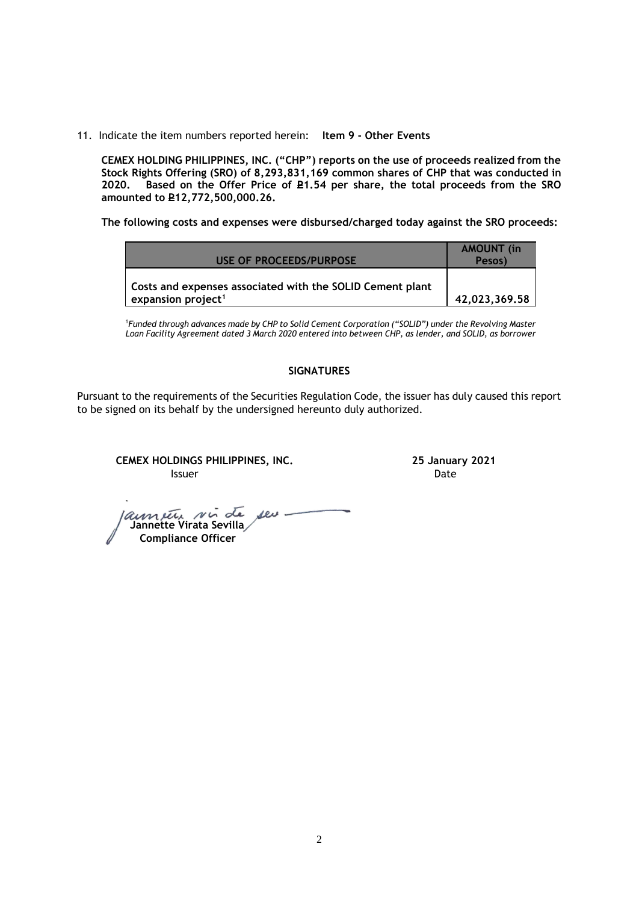11. Indicate the item numbers reported herein: **Item 9 - Other Events**

**CEMEX HOLDING PHILIPPINES, INC. ("CHP") reports on the use of proceeds realized from the Stock Rights Offering (SRO) of 8,293,831,169 common shares of CHP that was conducted in**  Based on the Offer Price of £1.54 per share, the total proceeds from the SRO **amounted to P12,772,500,000.26.** 

**The following costs and expenses were disbursed/charged today against the SRO proceeds:**

| USE OF PROCEEDS/PURPOSE                                                                     | <b>AMOUNT</b> (in<br>Pesos) |
|---------------------------------------------------------------------------------------------|-----------------------------|
| Costs and expenses associated with the SOLID Cement plant<br>expansion project <sup>1</sup> | 42,023,369.58               |

<sup>1</sup>*Funded through advances made by CHP to Solid Cement Corporation ("SOLID") under the Revolving Master Loan Facility Agreement dated 3 March 2020 entered into between CHP, as lender, and SOLID, as borrower*

## **SIGNATURES**

Pursuant to the requirements of the Securities Regulation Code, the issuer has duly caused this report to be signed on its behalf by the undersigned hereunto duly authorized.

**CEMEX HOLDINGS PHILIPPINES, INC. 25 January 2021 Issuer Date** 

 **Jannette Virata Sevilla Compliance Officer**